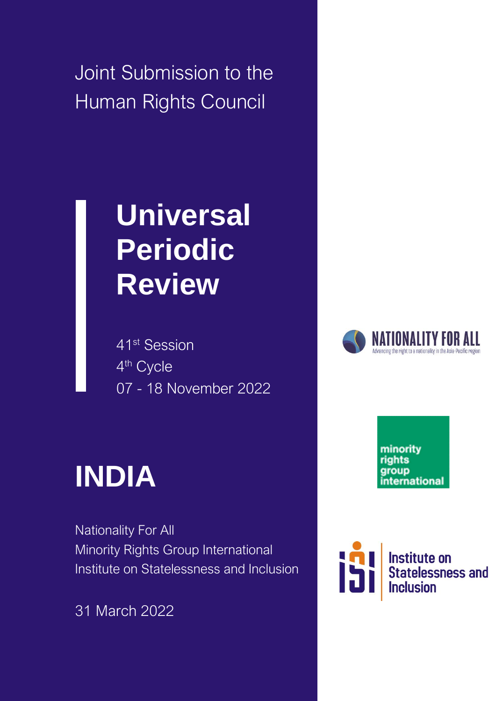Joint Submission to the Human Rights Council

## **Universal Periodic Review**

41st Session 4<sup>th</sup> Cycle 07 - 18 November 2022

# **INDIA**

Nationality For All Minority Rights Group International Institute on Statelessness and Inclusion

31 March 2022



minority rights group nternational

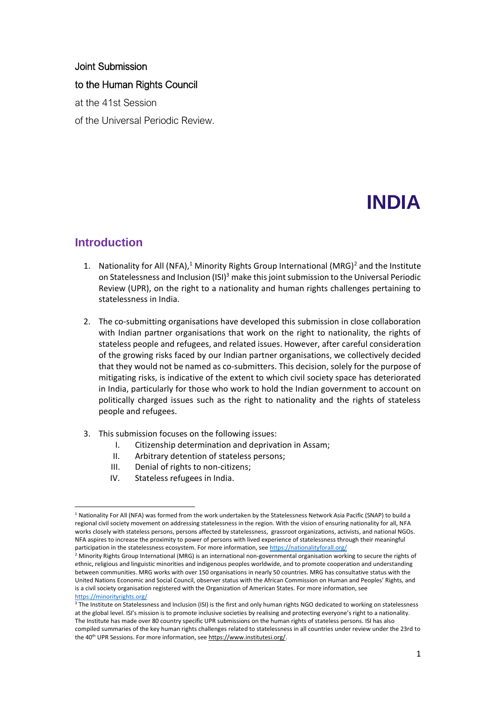#### Joint Submission

#### to the Human Rights Council

at the 41st Session

of the Universal Periodic Review.

### **INDIA**

#### **Introduction**

- 1. Nationality for All (NFA),<sup>1</sup> Minority Rights Group International (MRG)<sup>2</sup> and the Institute on Statelessness and Inclusion (ISI)<sup>3</sup> make this joint submission to the Universal Periodic Review (UPR), on the right to a nationality and human rights challenges pertaining to statelessness in India.
- 2. The co-submitting organisations have developed this submission in close collaboration with Indian partner organisations that work on the right to nationality, the rights of stateless people and refugees, and related issues. However, after careful consideration of the growing risks faced by our Indian partner organisations, we collectively decided that they would not be named as co-submitters. This decision, solely for the purpose of mitigating risks, is indicative of the extent to which civil society space has deteriorated in India, particularly for those who work to hold the Indian government to account on politically charged issues such as the right to nationality and the rights of stateless people and refugees.
- 3. This submission focuses on the following issues:
	- I. Citizenship determination and deprivation in Assam;
	- II. Arbitrary detention of stateless persons;
	- III. Denial of rights to non-citizens;
	- IV. Stateless refugees in India.

<sup>1</sup> Nationality For All (NFA) was formed from the work undertaken by the Statelessness Network Asia Pacific (SNAP) to build a regional civil society movement on addressing statelessness in the region. With the vision of ensuring nationality for all, NFA works closely with stateless persons, persons affected by statelessness, grassroot organizations, activists, and national NGOs. NFA aspires to increase the proximity to power of persons with lived experience of statelessness through their meaningful participation in the statelessness ecosystem. For more information, se[e https://nationalityforall.org/](https://nationalityforall.org/)

<sup>&</sup>lt;sup>2</sup> Minority Rights Group International (MRG) is an international non-governmental organisation working to secure the rights of ethnic, religious and linguistic minorities and indigenous peoples worldwide, and to promote cooperation and understanding between communities. MRG works with over 150 organisations in nearly 50 countries. MRG has consultative status with the United Nations Economic and Social Council, observer status with the African Commission on Human and Peoples' Rights, and is a civil society organisation registered with the Organization of American States. For more information, see <https://minorityrights.org/>

<sup>&</sup>lt;sup>3</sup> The Institute on Statelessness and Inclusion (ISI) is the first and only human rights NGO dedicated to working on statelessness at the global level. ISI's mission is to promote inclusive societies by realising and protecting everyone's right to a nationality. The Institute has made over 80 country specific UPR submissions on the human rights of stateless persons. ISI has also compiled summaries of the key human rights challenges related to statelessness in all countries under review under the 23rd to the 40<sup>th</sup> UPR Sessions. For more information, se[e https://www.institutesi.org/.](https://www.institutesi.org/)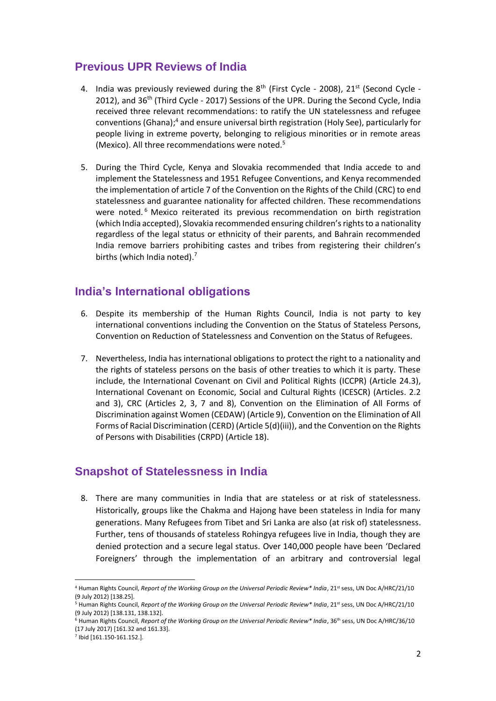#### **Previous UPR Reviews of India**

- 4. India was previously reviewed during the  $8<sup>th</sup>$  (First Cycle 2008), 21<sup>st</sup> (Second Cycle -2012), and 36<sup>th</sup> (Third Cycle - 2017) Sessions of the UPR. During the Second Cycle, India received three relevant recommendations: to ratify the UN statelessness and refugee conventions (Ghana);<sup>4</sup> and ensure universal birth registration (Holy See), particularly for people living in extreme poverty, belonging to religious minorities or in remote areas (Mexico). All three recommendations were noted.<sup>5</sup>
- 5. During the Third Cycle, Kenya and Slovakia recommended that India accede to and implement the Statelessness and 1951 Refugee Conventions, and Kenya recommended the implementation of article 7 of the Convention on the Rights of the Child (CRC) to end statelessness and guarantee nationality for affected children. These recommendations were noted.<sup>6</sup> Mexico reiterated its previous recommendation on birth registration (which India accepted), Slovakia recommended ensuring children's rights to a nationality regardless of the legal status or ethnicity of their parents, and Bahrain recommended India remove barriers prohibiting castes and tribes from registering their children's births (which India noted).<sup>7</sup>

#### **India's International obligations**

- 6. Despite its membership of the Human Rights Council, India is not party to key international conventions including the Convention on the Status of Stateless Persons, Convention on Reduction of Statelessness and Convention on the Status of Refugees.
- 7. Nevertheless, India has international obligations to protect the right to a nationality and the rights of stateless persons on the basis of other treaties to which it is party. These include, the International Covenant on Civil and Political Rights (ICCPR) (Article 24.3), International Covenant on Economic, Social and Cultural Rights (ICESCR) (Articles. 2.2 and 3), CRC (Articles 2, 3, 7 and 8), Convention on the Elimination of All Forms of Discrimination against Women (CEDAW) (Article 9), Convention on the Elimination of All Forms of Racial Discrimination (CERD) (Article 5(d)(iii)), and the Convention on the Rights of Persons with Disabilities (CRPD) (Article 18).

#### **Snapshot of Statelessness in India**

8. There are many communities in India that are stateless or at risk of statelessness. Historically, groups like the Chakma and Hajong have been stateless in India for many generations. Many Refugees from Tibet and Sri Lanka are also (at risk of) statelessness. Further, tens of thousands of stateless Rohingya refugees live in India, though they are denied protection and a secure legal status. Over 140,000 people have been 'Declared Foreigners' through the implementation of an arbitrary and controversial legal

<sup>&</sup>lt;sup>4</sup> Human Rights Council, *Report of the Working Group on the Universal Periodic Review\* India*, 21<sup>st</sup> sess, UN Doc A/HRC/21/10 (9 July 2012) [138.25].

<sup>&</sup>lt;sup>5</sup> Human Rights Council, *Report of the Working Group on the Universal Periodic Review\* India*, 21<sup>st</sup> sess, UN Doc A/HRC/21/10 (9 July 2012) [138.131, 138.132].

<sup>&</sup>lt;sup>6</sup> Human Rights Council, *Report of the Working Group on the Universal Periodic Review\* India*, 36<sup>th</sup> sess, UN Doc A/HRC/36/10 (17 July 2017) [161.32 and 161.33].

<sup>7</sup> Ibid [161.150-161.152.].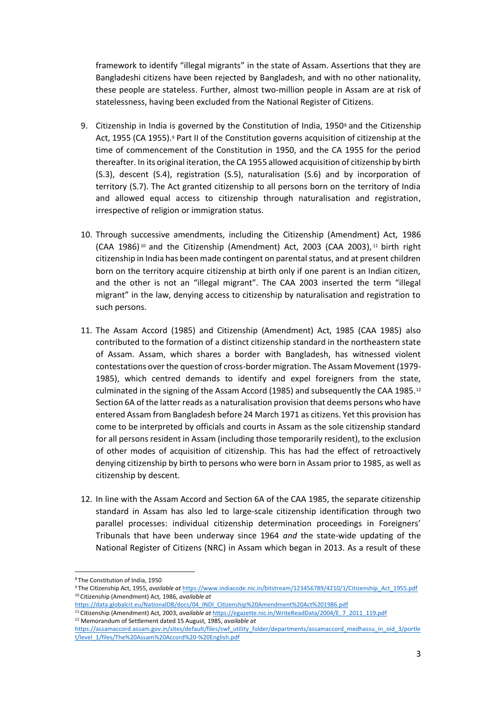framework to identify "illegal migrants" in the state of Assam. Assertions that they are Bangladeshi citizens have been rejected by Bangladesh, and with no other nationality, these people are stateless. Further, almost two-million people in Assam are at risk of statelessness, having been excluded from the National Register of Citizens.

- 9. Citizenship in India is governed by the Constitution of India,  $1950<sup>8</sup>$  and the Citizenship Act, 1955 (CA 1955).<sup>9</sup> Part II of the Constitution governs acquisition of citizenship at the time of commencement of the Constitution in 1950, and the CA 1955 for the period thereafter. In its original iteration, the CA 1955 allowed acquisition of citizenship by birth (S.3), descent (S.4), registration (S.5), naturalisation (S.6) and by incorporation of territory (S.7). The Act granted citizenship to all persons born on the territory of India and allowed equal access to citizenship through naturalisation and registration, irrespective of religion or immigration status.
- 10. Through successive amendments, including the Citizenship (Amendment) Act, 1986 (CAA 1986)<sup>10</sup> and the Citizenship (Amendment) Act, 2003 (CAA 2003),<sup>11</sup> birth right citizenship in India has been made contingent on parental status, and at present children born on the territory acquire citizenship at birth only if one parent is an Indian citizen, and the other is not an "illegal migrant". The CAA 2003 inserted the term "illegal migrant" in the law, denying access to citizenship by naturalisation and registration to such persons.
- 11. The Assam Accord (1985) and Citizenship (Amendment) Act, 1985 (CAA 1985) also contributed to the formation of a distinct citizenship standard in the northeastern state of Assam. Assam, which shares a border with Bangladesh, has witnessed violent contestations over the question of cross-border migration. The Assam Movement (1979- 1985), which centred demands to identify and expel foreigners from the state, culminated in the signing of the Assam Accord (1985) and subsequently the CAA 1985.<sup>12</sup> Section 6A of the latter reads as a naturalisation provision that deems persons who have entered Assam from Bangladesh before 24 March 1971 as citizens. Yet this provision has come to be interpreted by officials and courts in Assam as the sole citizenship standard for all persons resident in Assam (including those temporarily resident), to the exclusion of other modes of acquisition of citizenship. This has had the effect of retroactively denying citizenship by birth to persons who were born in Assam prior to 1985, as well as citizenship by descent.
- 12. In line with the Assam Accord and Section 6A of the CAA 1985, the separate citizenship standard in Assam has also led to large-scale citizenship identification through two parallel processes: individual citizenship determination proceedings in Foreigners' Tribunals that have been underway since 1964 *and* the state-wide updating of the National Register of Citizens (NRC) in Assam which began in 2013. As a result of these

[https://data.globalcit.eu/NationalDB/docs/04\\_INDI\\_Citizenship%20Amendment%20Act%201986.pdf](https://data.globalcit.eu/NationalDB/docs/04_INDI_Citizenship%20Amendment%20Act%201986.pdf) <sup>11</sup> Citizenship (Amendment) Act, 2003, *available at* [https://egazette.nic.in/WriteReadData/2004/E\\_7\\_2011\\_119.pdf](https://egazette.nic.in/WriteReadData/2004/E_7_2011_119.pdf)

<sup>8</sup> The Constitution of India, 1950

<sup>9</sup> The Citizenship Act, 1955, *available at* [https://www.indiacode.nic.in/bitstream/123456789/4210/1/Citizenship\\_Act\\_1955.pdf](https://www.indiacode.nic.in/bitstream/123456789/4210/1/Citizenship_Act_1955.pdf) <sup>10</sup> Citizenship (Amendment) Act, 1986, *available at* 

<sup>12</sup> Memorandum of Settlement dated 15 August, 1985, *available at*  [https://assamaccord.assam.gov.in/sites/default/files/swf\\_utility\\_folder/departments/assamaccord\\_medhassu\\_in\\_oid\\_3/portle](https://assamaccord.assam.gov.in/sites/default/files/swf_utility_folder/departments/assamaccord_medhassu_in_oid_3/portlet/level_1/files/The%20Assam%20Accord%20-%20English.pdf) [t/level\\_1/files/The%20Assam%20Accord%20-%20English.pdf](https://assamaccord.assam.gov.in/sites/default/files/swf_utility_folder/departments/assamaccord_medhassu_in_oid_3/portlet/level_1/files/The%20Assam%20Accord%20-%20English.pdf)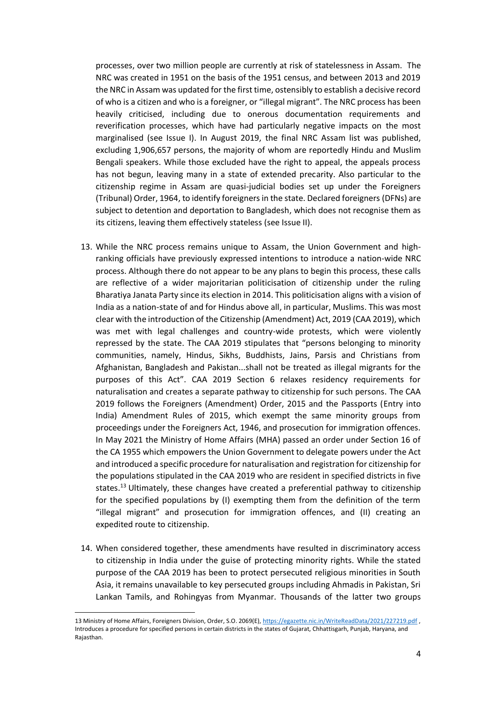processes, over two million people are currently at risk of statelessness in Assam. The NRC was created in 1951 on the basis of the 1951 census, and between 2013 and 2019 the NRC in Assam was updated for the first time, ostensibly to establish a decisive record of who is a citizen and who is a foreigner, or "illegal migrant". The NRC process has been heavily criticised, including due to onerous documentation requirements and reverification processes, which have had particularly negative impacts on the most marginalised (see Issue I). In August 2019, the final NRC Assam list was published, excluding 1,906,657 persons, the majority of whom are reportedly Hindu and Muslim Bengali speakers. While those excluded have the right to appeal, the appeals process has not begun, leaving many in a state of extended precarity. Also particular to the citizenship regime in Assam are quasi-judicial bodies set up under the Foreigners (Tribunal) Order, 1964, to identify foreigners in the state. Declared foreigners (DFNs) are subject to detention and deportation to Bangladesh, which does not recognise them as its citizens, leaving them effectively stateless (see Issue II).

- 13. While the NRC process remains unique to Assam, the Union Government and highranking officials have previously expressed intentions to introduce a nation-wide NRC process. Although there do not appear to be any plans to begin this process, these calls are reflective of a wider majoritarian politicisation of citizenship under the ruling Bharatiya Janata Party since its election in 2014. This politicisation aligns with a vision of India as a nation-state of and for Hindus above all, in particular, Muslims. This was most clear with the introduction of the Citizenship (Amendment) Act, 2019 (CAA 2019), which was met with legal challenges and country-wide protests, which were violently repressed by the state. The CAA 2019 stipulates that "persons belonging to minority communities, namely, Hindus, Sikhs, Buddhists, Jains, Parsis and Christians from Afghanistan, Bangladesh and Pakistan...shall not be treated as illegal migrants for the purposes of this Act". CAA 2019 Section 6 relaxes residency requirements for naturalisation and creates a separate pathway to citizenship for such persons. The CAA 2019 follows the Foreigners (Amendment) Order, 2015 and the Passports (Entry into India) Amendment Rules of 2015, which exempt the same minority groups from proceedings under the Foreigners Act, 1946, and prosecution for immigration offences. In May 2021 the Ministry of Home Affairs (MHA) passed an order under Section 16 of the CA 1955 which empowers the Union Government to delegate powers under the Act and introduced a specific procedure for naturalisation and registration for citizenship for the populations stipulated in the CAA 2019 who are resident in specified districts in five states. <sup>13</sup> Ultimately, these changes have created a preferential pathway to citizenship for the specified populations by (I) exempting them from the definition of the term "illegal migrant" and prosecution for immigration offences, and (II) creating an expedited route to citizenship.
- 14. When considered together, these amendments have resulted in discriminatory access to citizenship in India under the guise of protecting minority rights. While the stated purpose of the CAA 2019 has been to protect persecuted religious minorities in South Asia, it remains unavailable to key persecuted groups including Ahmadis in Pakistan, Sri Lankan Tamils, and Rohingyas from Myanmar. Thousands of the latter two groups

<sup>13</sup> Ministry of Home Affairs, Foreigners Division, Order, S.O. 2069(E)[, https://egazette.nic.in/WriteReadData/2021/227219.pdf](https://egazette.nic.in/WriteReadData/2021/227219.pdf), Introduces a procedure for specified persons in certain districts in the states of Gujarat, Chhattisgarh, Punjab, Haryana, and Rajasthan.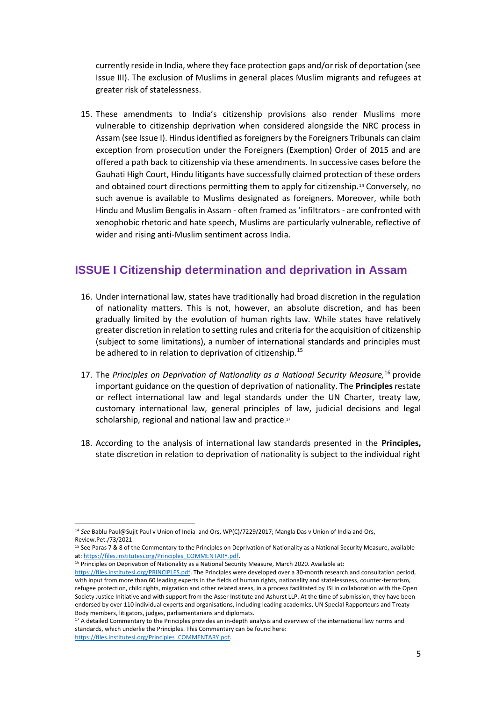currently reside in India, where they face protection gaps and/or risk of deportation (see Issue III). The exclusion of Muslims in general places Muslim migrants and refugees at greater risk of statelessness.

15. These amendments to India's citizenship provisions also render Muslims more vulnerable to citizenship deprivation when considered alongside the NRC process in Assam (see Issue I). Hindus identified as foreigners by the Foreigners Tribunals can claim exception from prosecution under the Foreigners (Exemption) Order of 2015 and are offered a path back to citizenship via these amendments. In successive cases before the Gauhati High Court, Hindu litigants have successfully claimed protection of these orders and obtained court directions permitting them to apply for citizenship.<sup>14</sup> Conversely, no such avenue is available to Muslims designated as foreigners. Moreover, while both Hindu and Muslim Bengalis in Assam - often framed as 'infiltrators - are confronted with xenophobic rhetoric and hate speech, Muslims are particularly vulnerable, reflective of wider and rising anti-Muslim sentiment across India.

#### **ISSUE I Citizenship determination and deprivation in Assam**

- 16. Under international law, states have traditionally had broad discretion in the regulation of nationality matters. This is not, however, an absolute discretion, and has been gradually limited by the evolution of human rights law. While states have relatively greater discretion in relation to setting rules and criteria for the acquisition of citizenship (subject to some limitations), a number of international standards and principles must be adhered to in relation to deprivation of citizenship.<sup>15</sup>
- 17. The *Principles on Deprivation of Nationality as a National Security Measure,*<sup>16</sup> provide important guidance on the question of deprivation of nationality. The **Principles** restate or reflect international law and legal standards under the UN Charter, treaty law, customary international law, general principles of law, judicial decisions and legal scholarship, regional and national law and practice.<sup>17</sup>
- 18. According to the analysis of international law standards presented in the **Principles,**  state discretion in relation to deprivation of nationality is subject to the individual right

<sup>16</sup> Principles on Deprivation of Nationality as a National Security Measure, March 2020. Available at:

<sup>14</sup> *See* Bablu Paul@Sujit Paul v Union of India and Ors, WP(C)/7229/2017; Mangla Das v Union of India and Ors, Review.Pet./73/2021

<sup>&</sup>lt;sup>15</sup> See Paras 7 & 8 of the Commentary to the Principles on Deprivation of Nationality as a National Security Measure, available at[: https://files.institutesi.org/Principles\\_COMMENTARY.pdf.](https://files.institutesi.org/Principles_COMMENTARY.pdf)

[https://files.institutesi.org/PRINCIPLES.pdf.](https://files.institutesi.org/PRINCIPLES.pdf) The Principles were developed over a 30-month research and consultation period, with input from more than 60 leading experts in the fields of human rights, nationality and statelessness, counter-terrorism, refugee protection, child rights, migration and other related areas, in a process facilitated by ISI in collaboration with the Open Society Justice Initiative and with support from the Asser Institute and Ashurst LLP. At the time of submission, they have been endorsed by over 110 individual experts and organisations, including leading academics, UN Special Rapporteurs and Treaty Body members, litigators, judges, parliamentarians and diplomats.

<sup>&</sup>lt;sup>17</sup> A detailed Commentary to the Principles provides an in-depth analysis and overview of the international law norms and standards, which underlie the Principles. This Commentary can be found here: [https://files.institutesi.org/Principles\\_COMMENTARY.pdf.](https://files.institutesi.org/Principles_COMMENTARY.pdf)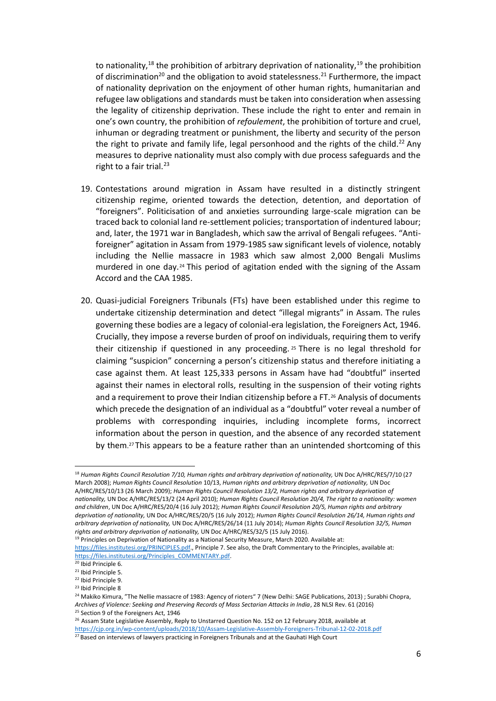to nationality,<sup>18</sup> the prohibition of arbitrary deprivation of nationality,<sup>19</sup> the prohibition of discrimination<sup>20</sup> and the obligation to avoid statelessness.<sup>21</sup> Furthermore, the impact of nationality deprivation on the enjoyment of other human rights, humanitarian and refugee law obligations and standards must be taken into consideration when assessing the legality of citizenship deprivation. These include the right to enter and remain in one's own country, the prohibition of *refoulement*, the prohibition of torture and cruel, inhuman or degrading treatment or punishment, the liberty and security of the person the right to private and family life, legal personhood and the rights of the child.<sup>22</sup> Any measures to deprive nationality must also comply with due process safeguards and the right to a fair trial. $^{23}$ 

- 19. Contestations around migration in Assam have resulted in a distinctly stringent citizenship regime, oriented towards the detection, detention, and deportation of "foreigners". Politicisation of and anxieties surrounding large-scale migration can be traced back to colonial land re-settlement policies; transportation of indentured labour; and, later, the 1971 war in Bangladesh, which saw the arrival of Bengali refugees. "Antiforeigner" agitation in Assam from 1979-1985 saw significant levels of violence, notably including the Nellie massacre in 1983 which saw almost 2,000 Bengali Muslims murdered in one day.<sup>24</sup> This period of agitation ended with the signing of the Assam Accord and the CAA 1985.
- 20. Quasi-judicial Foreigners Tribunals (FTs) have been established under this regime to undertake citizenship determination and detect "illegal migrants" in Assam. The rules governing these bodies are a legacy of colonial-era legislation, the Foreigners Act, 1946. Crucially, they impose a reverse burden of proof on individuals, requiring them to verify their citizenship if questioned in any proceeding.  $25$  There is no legal threshold for claiming "suspicion" concerning a person's citizenship status and therefore initiating a case against them. At least 125,333 persons in Assam have had "doubtful" inserted against their names in electoral rolls, resulting in the suspension of their voting rights and a requirement to prove their Indian citizenship before a FT.<sup>26</sup> Analysis of documents which precede the designation of an individual as a "doubtful" voter reveal a number of problems with corresponding inquiries, including incomplete forms, incorrect information about the person in question, and the absence of any recorded statement by them. <sup>27</sup> This appears to be a feature rather than an unintended shortcoming of this

<sup>&</sup>lt;sup>18</sup> Human Rights Council Resolution 7/10, Human rights and arbitrary deprivation of nationality, UN Doc A/HRC/RES/7/10 (27 March 2008); *Human Rights Council Resolution* 10/13, *Human rights and arbitrary deprivation of nationality,* UN Doc A/HRC/RES/10/13 (26 March 2009); *Human Rights Council Resolution 13/2, Human rights and arbitrary deprivation of nationality,* UN Doc A/HRC/RES/13/2 (24 April 2010); *Human Rights Council Resolution 20/4, The right to a nationality: women and children*, UN Doc A/HRC/RES/20/4 (16 July 2012); *Human Rights Council Resolution 20/5, Human rights and arbitrary deprivation of nationality,* UN Doc A/HRC/RES/20/5 (16 July 2012); *Human Rights Council Resolution 26/14, Human rights and arbitrary deprivation of nationality,* UN Doc A/HRC/RES/26/14 (11 July 2014); *Human Rights Council Resolution 32/5, Human rights and arbitrary deprivation of nationality,* UN Doc A/HRC/RES/32/5 (15 July 2016).

<sup>&</sup>lt;sup>19</sup> Principles on Deprivation of Nationality as a National Security Measure, March 2020. Available at: [https://files.institutesi.org/PRINCIPLES.pdf.,](https://files.institutesi.org/PRINCIPLES.pdf) Principle 7. See also, the Draft Commentary to the Principles, available at: [https://files.institutesi.org/Principles\\_COMMENTARY.pdf.](https://files.institutesi.org/Principles_COMMENTARY.pdf)

 $\overline{20}$  Ibid Principle 6.

<sup>21</sup> Ibid Principle 5.

<sup>22</sup> Ibid Principle 9.

<sup>23</sup> Ibid Principle 8

<sup>&</sup>lt;sup>24</sup> Makiko Kimura, "The Nellie massacre of 1983: Agency of rioters" 7 (New Delhi: SAGE Publications, 2013) ; Surabhi Chopra, *Archives of Violence: Seeking and Preserving Records of Mass Sectarian Attacks in India*, 28 NLSI Rev. 61 (2016) <sup>25</sup> Section 9 of the Foreigners Act, 1946

<sup>&</sup>lt;sup>26</sup> Assam State Legislative Assembly, Reply to Unstarred Question No. 152 on 12 February 2018, available at

<https://cjp.org.in/wp-content/uploads/2018/10/Assam-Legislative-Assembly-Foreigners-Tribunal-12-02-2018.pdf>

<sup>&</sup>lt;sup>27</sup> Based on interviews of lawyers practicing in Foreigners Tribunals and at the Gauhati High Court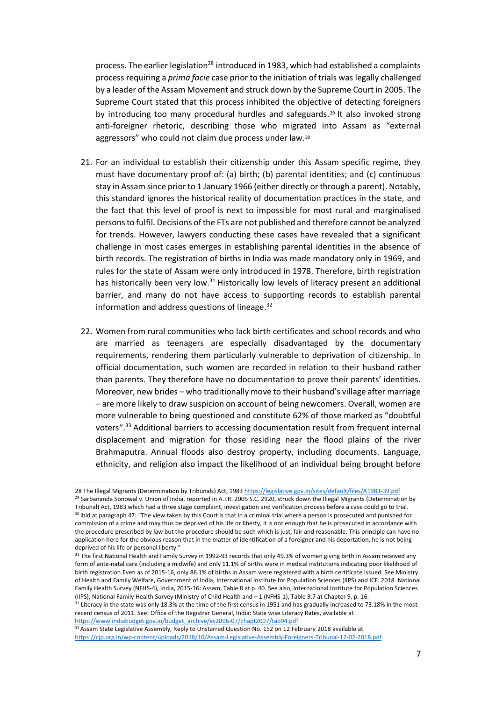process. The earlier legislation<sup>28</sup> introduced in 1983, which had established a complaints process requiring a *prima facie* case prior to the initiation of trials was legally challenged by a leader of the Assam Movement and struck down by the Supreme Court in 2005. The Supreme Court stated that this process inhibited the objective of detecting foreigners by introducing too many procedural hurdles and safeguards. <sup>29</sup> It also invoked strong anti-foreigner rhetoric, describing those who migrated into Assam as "external aggressors" who could not claim due process under law.<sup>30</sup>

- 21. For an individual to establish their citizenship under this Assam specific regime, they must have documentary proof of: (a) birth; (b) parental identities; and (c) continuous stay in Assam since prior to 1 January 1966 (either directly or through a parent). Notably, this standard ignores the historical reality of documentation practices in the state, and the fact that this level of proof is next to impossible for most rural and marginalised persons to fulfil. Decisions of the FTs are not published and therefore cannot be analyzed for trends. However, lawyers conducting these cases have revealed that a significant challenge in most cases emerges in establishing parental identities in the absence of birth records. The registration of births in India was made mandatory only in 1969, and rules for the state of Assam were only introduced in 1978. Therefore, birth registration has historically been very low.<sup>31</sup> Historically low levels of literacy present an additional barrier, and many do not have access to supporting records to establish parental information and address questions of lineage. $32$
- 22. Women from rural communities who lack birth certificates and school records and who are married as teenagers are especially disadvantaged by the documentary requirements, rendering them particularly vulnerable to deprivation of citizenship. In official documentation, such women are recorded in relation to their husband rather than parents. They therefore have no documentation to prove their parents' identities. Moreover, new brides – who traditionally move to their husband's village after marriage – are more likely to draw suspicion on account of being newcomers. Overall, women are more vulnerable to being questioned and constitute 62% of those marked as "doubtful voters".<sup>33</sup> Additional barriers to accessing documentation result from frequent internal displacement and migration for those residing near the flood plains of the river Brahmaputra. Annual floods also destroy property, including documents. Language, ethnicity, and religion also impact the likelihood of an individual being brought before

<sup>33</sup> Assam State Legislative Assembly, Reply to Unstarred Question No. 152 on 12 February 2018 available at <https://cjp.org.in/wp-content/uploads/2018/10/Assam-Legislative-Assembly-Foreigners-Tribunal-12-02-2018.pdf>

<sup>28</sup> The Illegal Migrants (Determination by Tribunals) Act, 198[3 https://legislative.gov.in/sites/default/files/A1983-39.pdf](https://legislative.gov.in/sites/default/files/A1983-39.pdf)

<sup>&</sup>lt;sup>29</sup> Sarbananda Sonowal v. Union of India, reported in A.I.R. 2005 S.C. 2920, struck down the Illegal Migrants (Determination by Tribunal) Act, 1983 which had a three stage complaint, investigation and verification process before a case could go to trial. 30 Ibid at paragraph 47: "The view taken by this Court is that in a criminal trial where a person is prosecuted and punished for commission of a crime and may thus be deprived of his life or liberty, it is not enough that he is prosecuted in accordance with the procedure prescribed by law but the procedure should be such which is just, fair and reasonable. This principle can have no application here for the obvious reason that in the matter of identification of a foreigner and his deportation, he is not being deprived of his life or personal liberty."

<sup>&</sup>lt;sup>31</sup> The first National Health and Family Survey in 1992-93 records that only 49.3% of women giving birth in Assam received any form of ante-natal care (including a midwife) and only 11.1% of births were in medical institutions indicating poor likelihood of birth registration.Even as of 2015-16, only 86.1% of births in Assam were registered with a birth certificate issued. See Ministry of Health and Family Welfare, Government of India, International Institute for Population Sciences (IIPS) and ICF. 2018. National Family Health Survey (NFHS-4), India, 2015-16: Assam, Table 8 at p. 40. See also, International Institute for Population Sciences (IIPS), National Family Health Survey (Ministry of Child Health and – 1 (NFHS-1), Table 9.7 at Chapter 9, p. 16.

<sup>32</sup> Literacy in the state was only 18.3% at the time of the first census in 1951 and has gradually increased to 73.18% in the most recent census of 2011. See: Office of the Registrar General, India: State wise Literacy Rates, available at [https://www.indiabudget.gov.in/budget\\_archive/es2006-07/chapt2007/tab94.pdf](https://www.indiabudget.gov.in/budget_archive/es2006-07/chapt2007/tab94.pdf)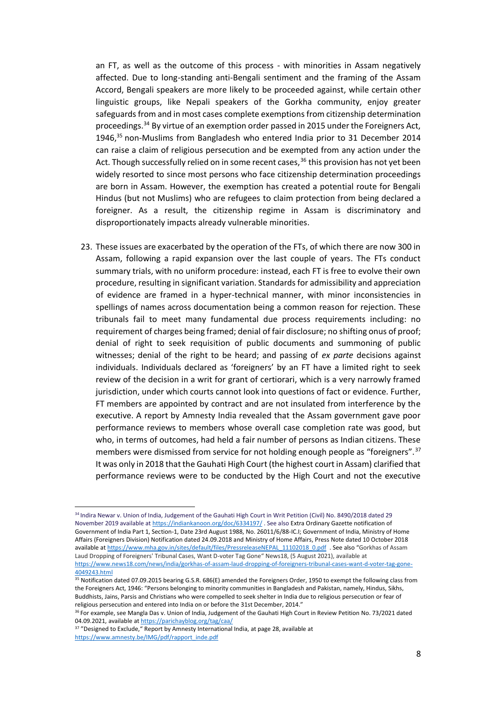an FT, as well as the outcome of this process - with minorities in Assam negatively affected. Due to long-standing anti-Bengali sentiment and the framing of the Assam Accord, Bengali speakers are more likely to be proceeded against, while certain other linguistic groups, like Nepali speakers of the Gorkha community, enjoy greater safeguards from and in most cases complete exemptions from citizenship determination proceedings.<sup>34</sup> By virtue of an exemption order passed in 2015 under the Foreigners Act, 1946,<sup>35</sup> non-Muslims from Bangladesh who entered India prior to 31 December 2014 can raise a claim of religious persecution and be exempted from any action under the Act. Though successfully relied on in some recent cases,  $36$  this provision has not yet been widely resorted to since most persons who face citizenship determination proceedings are born in Assam. However, the exemption has created a potential route for Bengali Hindus (but not Muslims) who are refugees to claim protection from being declared a foreigner. As a result, the citizenship regime in Assam is discriminatory and disproportionately impacts already vulnerable minorities.

23. These issues are exacerbated by the operation of the FTs, of which there are now 300 in Assam, following a rapid expansion over the last couple of years. The FTs conduct summary trials, with no uniform procedure: instead, each FT is free to evolve their own procedure, resulting in significant variation. Standards for admissibility and appreciation of evidence are framed in a hyper-technical manner, with minor inconsistencies in spellings of names across documentation being a common reason for rejection. These tribunals fail to meet many fundamental due process requirements including: no requirement of charges being framed; denial of fair disclosure; no shifting onus of proof; denial of right to seek requisition of public documents and summoning of public witnesses; denial of the right to be heard; and passing of *ex parte* decisions against individuals. Individuals declared as 'foreigners' by an FT have a limited right to seek review of the decision in a writ for grant of certiorari, which is a very narrowly framed jurisdiction, under which courts cannot look into questions of fact or evidence. Further, FT members are appointed by contract and are not insulated from interference by the executive. A report by Amnesty India revealed that the Assam government gave poor performance reviews to members whose overall case completion rate was good, but who, in terms of outcomes, had held a fair number of persons as Indian citizens. These members were dismissed from service for not holding enough people as "foreigners".<sup>37</sup> It was only in 2018 that the Gauhati High Court (the highest court in Assam) clarified that performance reviews were to be conducted by the High Court and not the executive

<sup>34</sup> Indira Newar v. Union of India, Judgement of the Gauhati High Court in Writ Petition (Civil) No. 8490/2018 dated 29 November 2019 available a[t https://indiankanoon.org/doc/6334197/](https://indiankanoon.org/doc/6334197/) . See also Extra Ordinary Gazette notification of Government of India Part 1, Section-1, Date 23rd August 1988, No. 26011/6/88-IC.I; Government of India, Ministry of Home Affairs (Foreigners Division) Notification dated 24.09.2018 and Ministry of Home Affairs, Press Note dated 10 October 2018 available a[t https://www.mha.gov.in/sites/default/files/PressreleaseNEPAL\\_11102018\\_0.pdf](https://www.mha.gov.in/sites/default/files/PressreleaseNEPAL_11102018_0.pdf) . See also "Gorkhas of Assam Laud Dropping of Foreigners' Tribunal Cases, Want D-voter Tag Gone" News18, (5 August 2021), available at [https://www.news18.com/news/india/gorkhas-of-assam-laud-dropping-of-foreigners-tribunal-cases-want-d-voter-tag-gone-](https://www.news18.com/news/india/gorkhas-of-assam-laud-dropping-of-foreigners-tribunal-cases-want-d-voter-tag-gone-4049243.html)[4049243.html](https://www.news18.com/news/india/gorkhas-of-assam-laud-dropping-of-foreigners-tribunal-cases-want-d-voter-tag-gone-4049243.html)

<sup>&</sup>lt;sup>35</sup> Notification dated 07.09.2015 bearing G.S.R. 686(E) amended the Foreigners Order, 1950 to exempt the following class from the Foreigners Act, 1946: "Persons belonging to minority communities in Bangladesh and Pakistan, namely, Hindus, Sikhs, Buddhists, Jains, Parsis and Christians who were compelled to seek shelter in India due to religious persecution or fear of religious persecution and entered into India on or before the 31st December, 2014."

<sup>&</sup>lt;sup>36</sup> For example, see Mangla Das v. Union of India, Judgement of the Gauhati High Court in Review Petition No. 73/2021 dated 04.09.2021, available a[t https://parichayblog.org/tag/caa/](https://parichayblog.org/tag/caa/)

<sup>&</sup>lt;sup>37</sup> "Designed to Exclude," Report by Amnesty International India, at page 28, available at [https://www.amnesty.be/IMG/pdf/rapport\\_inde.pdf](https://www.amnesty.be/IMG/pdf/rapport_inde.pdf)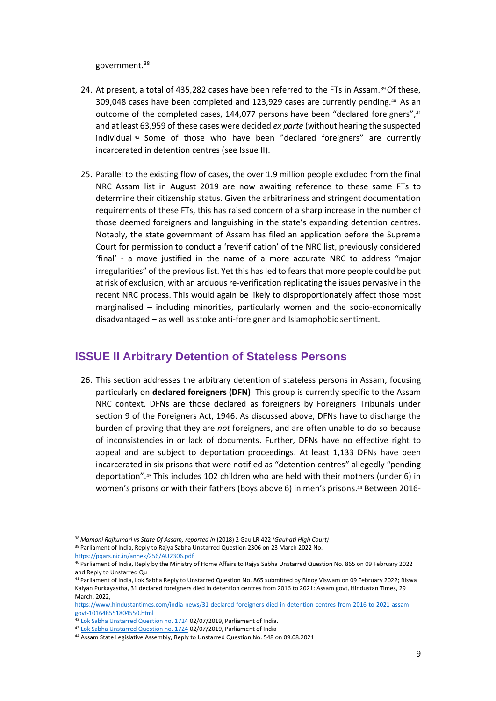government.<sup>38</sup>

- 24. At present, a total of 435,282 cases have been referred to the FTs in Assam.<sup>39</sup> Of these, 309,048 cases have been completed and 123,929 cases are currently pending.<sup>40</sup> As an outcome of the completed cases, 144,077 persons have been "declared foreigners",<sup>41</sup> and at least 63,959 of these cases were decided *ex parte* (without hearing the suspected individual <sup>42</sup> Some of those who have been "declared foreigners" are currently incarcerated in detention centres (see Issue II).
- 25. Parallel to the existing flow of cases, the over 1.9 million people excluded from the final NRC Assam list in August 2019 are now awaiting reference to these same FTs to determine their citizenship status. Given the arbitrariness and stringent documentation requirements of these FTs, this has raised concern of a sharp increase in the number of those deemed foreigners and languishing in the state's expanding detention centres. Notably, the state government of Assam has filed an application before the Supreme Court for permission to conduct a 'reverification' of the NRC list, previously considered 'final' - a move justified in the name of a more accurate NRC to address "major irregularities" of the previous list. Yet this has led to fears that more people could be put at risk of exclusion, with an arduous re-verification replicating the issues pervasive in the recent NRC process. This would again be likely to disproportionately affect those most marginalised – including minorities, particularly women and the socio-economically disadvantaged – as well as stoke anti-foreigner and Islamophobic sentiment.

#### **ISSUE II Arbitrary Detention of Stateless Persons**

26. This section addresses the arbitrary detention of stateless persons in Assam, focusing particularly on **declared foreigners (DFN)**. This group is currently specific to the Assam NRC context. DFNs are those declared as foreigners by Foreigners Tribunals under section 9 of the Foreigners Act, 1946. As discussed above, DFNs have to discharge the burden of proving that they are *not* foreigners, and are often unable to do so because of inconsistencies in or lack of documents. Further, DFNs have no effective right to appeal and are subject to deportation proceedings. At least 1,133 DFNs have been incarcerated in six prisons that were notified as "detention centres" allegedly "pending deportation".<sup>43</sup> This includes 102 children who are held with their mothers (under 6) in women's prisons or with their fathers (boys above 6) in men's prisons.<sup>44</sup> Between 2016-

[https://www.hindustantimes.com/india-news/31-declared-foreigners-died-in-detention-centres-from-2016-to-2021-assam](https://www.hindustantimes.com/india-news/31-declared-foreigners-died-in-detention-centres-from-2016-to-2021-assam-govt-101648551804550.html)[govt-101648551804550.html](https://www.hindustantimes.com/india-news/31-declared-foreigners-died-in-detention-centres-from-2016-to-2021-assam-govt-101648551804550.html)

<sup>38</sup> *Mamoni Rajkumari vs State Of Assam, reported in* (2018) 2 Gau LR 422 *(Gauhati High Court)* <sup>39</sup> Parliament of India, Reply to Rajya Sabha Unstarred Question 2306 on 23 March 2022 No.

<https://pqars.nic.in/annex/256/AU2306.pdf>

<sup>40</sup> Parliament of India, Reply by the Ministry of Home Affairs to Rajya Sabha Unstarred Question No. 865 on 09 February 2022 and Reply to Unstarred Qu

<sup>41</sup> Parliament of India, Lok Sabha Reply to Unstarred Question No. 865 submitted by Binoy Viswam on 09 February 2022; Biswa Kalyan Purkayastha, 31 declared foreigners died in detention centres from 2016 to 2021: Assam govt, Hindustan Times, 29 March, 2022,

<sup>&</sup>lt;sup>42</sup> [Lok Sabha Unstarred Question no. 1724](http://loksabhaph.nic.in/Questions/QResult15.aspx?qref=1909&lsno=17) 02/07/2019, Parliament of India.

<sup>43</sup> [Lok Sabha Unstarred Question no. 1724](http://loksabhaph.nic.in/Questions/QResult15.aspx?qref=1909&lsno=17) 02/07/2019, Parliament of India

<sup>44</sup> Assam State Legislative Assembly, Reply to Unstarred Question No. 548 on 09.08.2021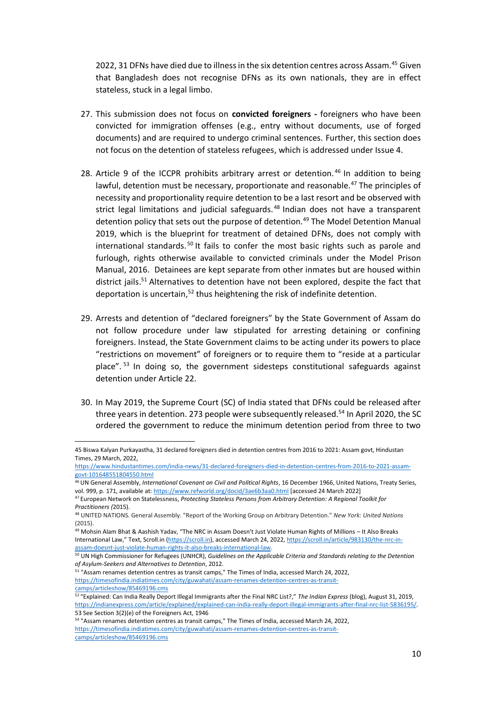2022, 31 DFNs have died due to illness in the six detention centres across Assam.<sup>45</sup> Given that Bangladesh does not recognise DFNs as its own nationals, they are in effect stateless, stuck in a legal limbo.

- 27. This submission does not focus on **convicted foreigners -** foreigners who have been convicted for immigration offenses (e.g., entry without documents, use of forged documents) and are required to undergo criminal sentences. Further, this section does not focus on the detention of stateless refugees, which is addressed under Issue 4.
- 28. Article 9 of the ICCPR prohibits arbitrary arrest or detention.<sup>46</sup> In addition to being lawful, detention must be necessary, proportionate and reasonable.<sup>47</sup> The principles of necessity and proportionality require detention to be a last resort and be observed with strict legal limitations and judicial safeguards.<sup>48</sup> Indian does not have a transparent detention policy that sets out the purpose of detention.<sup>49</sup> The Model Detention Manual 2019, which is the blueprint for treatment of detained DFNs, does not comply with international standards.<sup>50</sup> It fails to confer the most basic rights such as parole and furlough, rights otherwise available to convicted criminals under the Model Prison Manual, 2016. Detainees are kept separate from other inmates but are housed within district jails. <sup>51</sup> Alternatives to detention have not been explored, despite the fact that deportation is uncertain,<sup>52</sup> thus heightening the risk of indefinite detention.
- 29. Arrests and detention of "declared foreigners" by the State Government of Assam do not follow procedure under law stipulated for arresting detaining or confining foreigners. Instead, the State Government claims to be acting under its powers to place "restrictions on movement" of foreigners or to require them to "reside at a particular place". <sup>53</sup> In doing so, the government sidesteps constitutional safeguards against detention under Article 22.
- 30. In May 2019, the Supreme Court (SC) of India stated that DFNs could be released after three years in detention. 273 people were subsequently released.<sup>54</sup> In April 2020, the SC ordered the government to reduce the minimum detention period from three to two

<sup>51</sup> "Assam renames detention centres as transit camps," The Times of India, accessed March 24, 2022, [https://timesofindia.indiatimes.com/city/guwahati/assam-renames-detention-centres-as-transit](https://timesofindia.indiatimes.com/city/guwahati/assam-renames-detention-centres-as-transit-camps/articleshow/85469196.cms)[camps/articleshow/85469196.cms](https://timesofindia.indiatimes.com/city/guwahati/assam-renames-detention-centres-as-transit-camps/articleshow/85469196.cms)

<sup>45</sup> Biswa Kalyan Purkayastha, 31 declared foreigners died in detention centres from 2016 to 2021: Assam govt, Hindustan Times, 29 March, 2022,

[https://www.hindustantimes.com/india-news/31-declared-foreigners-died-in-detention-centres-from-2016-to-2021-assam](https://www.hindustantimes.com/india-news/31-declared-foreigners-died-in-detention-centres-from-2016-to-2021-assam-govt-101648551804550.html)[govt-101648551804550.html](https://www.hindustantimes.com/india-news/31-declared-foreigners-died-in-detention-centres-from-2016-to-2021-assam-govt-101648551804550.html)

<sup>46</sup>UN General Assembly, *International Covenant on Civil and Political Rights*, 16 December 1966, United Nations, Treaty Series, vol. 999, p. 171, available at[: https://www.refworld.org/docid/3ae6b3aa0.html](https://www.refworld.org/docid/3ae6b3aa0.html) [accessed 24 March 2022]

<sup>47</sup> European Network on Statelessness, *Protecting Stateless Persons from Arbitrary Detention: A Regional Toolkit for Practitioners (*2015).

<sup>48</sup> UNITED NATIONS. General Assembly. "Report of the Working Group on Arbitrary Detention." *New York: United Nations* (2015).

<sup>49</sup> Mohsin Alam Bhat & Aashish Yadav, "The NRC in Assam Doesn't Just Violate Human Rights of Millions – It Also Breaks International Law," Text, Scroll.in ([https://scroll.in\),](https://scroll.in/) accessed March 24, 2022[, https://scroll.in/article/983130/the-nrc-in](https://scroll.in/article/983130/the-nrc-in-assam-doesnt-just-violate-human-rights-it-also-breaks-international-law)[assam-doesnt-just-violate-human-rights-it-also-breaks-international-law.](https://scroll.in/article/983130/the-nrc-in-assam-doesnt-just-violate-human-rights-it-also-breaks-international-law)

<sup>50</sup> UN High Commissioner for Refugees (UNHCR), *Guidelines on the Applicable Criteria and Standards relating to the Detention of Asylum-Seekers and Alternatives to Detention*, 2012.

<sup>52</sup> "Explained: Can India Really Deport Illegal Immigrants after the Final NRC List?," *The Indian Express* (blog), August 31, 2019, [https://indianexpress.com/article/explained/explained-can-india-really-deport-illegal-immigrants-after-final-nrc-list-5836195/.](https://indianexpress.com/article/explained/explained-can-india-really-deport-illegal-immigrants-after-final-nrc-list-5836195/) 53 See Section 3(2)(e) of the Foreigners Act, 1946

<sup>54 &</sup>quot;Assam renames detention centres as transit camps," The Times of India, accessed March 24, 2022, [https://timesofindia.indiatimes.com/city/guwahati/assam-renames-detention-centres-as-transit](https://timesofindia.indiatimes.com/city/guwahati/assam-renames-detention-centres-as-transit-camps/articleshow/85469196.cms)[camps/articleshow/85469196.cms](https://timesofindia.indiatimes.com/city/guwahati/assam-renames-detention-centres-as-transit-camps/articleshow/85469196.cms)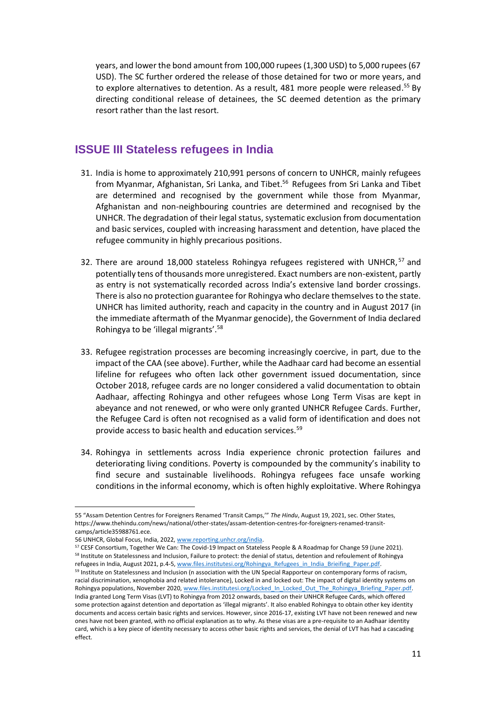years, and lower the bond amount from 100,000 rupees (1,300 USD) to 5,000 rupees (67 USD). The SC further ordered the release of those detained for two or more years, and to explore alternatives to detention. As a result, 481 more people were released. <sup>55</sup> By directing conditional release of detainees, the SC deemed detention as the primary resort rather than the last resort.

#### **ISSUE III Stateless refugees in India**

- 31. India is home to approximately 210,991 persons of concern to UNHCR, mainly refugees from Myanmar, Afghanistan, Sri Lanka, and Tibet.<sup>56</sup> Refugees from Sri Lanka and Tibet are determined and recognised by the government while those from Myanmar, Afghanistan and non-neighbouring countries are determined and recognised by the UNHCR. The degradation of their legal status, systematic exclusion from documentation and basic services, coupled with increasing harassment and detention, have placed the refugee community in highly precarious positions.
- 32. There are around 18,000 stateless Rohingya refugees registered with UNHCR, <sup>57</sup> and potentially tens of thousands more unregistered. Exact numbers are non-existent, partly as entry is not systematically recorded across India's extensive land border crossings. There is also no protection guarantee for Rohingya who declare themselves to the state. UNHCR has limited authority, reach and capacity in the country and in August 2017 (in the immediate aftermath of the Myanmar genocide), the Government of India declared Rohingya to be 'illegal migrants'.<sup>58</sup>
- 33. Refugee registration processes are becoming increasingly coercive, in part, due to the impact of the CAA (see above). Further, while the Aadhaar card had become an essential lifeline for refugees who often lack other government issued documentation, since October 2018, refugee cards are no longer considered a valid documentation to obtain Aadhaar, affecting Rohingya and other refugees whose Long Term Visas are kept in abeyance and not renewed, or who were only granted UNHCR Refugee Cards. Further, the Refugee Card is often not recognised as a valid form of identification and does not provide access to basic health and education services.<sup>59</sup>
- 34. Rohingya in settlements across India experience chronic protection failures and deteriorating living conditions. Poverty is compounded by the community's inability to find secure and sustainable livelihoods. Rohingya refugees face unsafe working conditions in the informal economy, which is often highly exploitative. Where Rohingya

<sup>55</sup> "Assam Detention Centres for Foreigners Renamed 'Transit Camps,'" *The Hindu*, August 19, 2021, sec. Other States, https://www.thehindu.com/news/national/other-states/assam-detention-centres-for-foreigners-renamed-transitcamps/article35988761.ece.

<sup>56</sup> UNHCR, Global Focus, India, 2022[, www.reporting.unhcr.org/india.](http://www.reporting.unhcr.org/india) 

<sup>57</sup> CESF Consortium, Together We Can: The Covid-19 Impact on Stateless People & A Roadmap for Change 59 (June 2021). <sup>58</sup> Institute on Statelessness and Inclusion, Failure to protect: the denial of status, detention and refoulement of Rohingya refugees in India, August 2021, p.4-5, [www.files.institutesi.org/Rohingya\\_Refugees\\_in\\_India\\_Brieifing\\_Paper.pdf.](http://www.files.institutesi.org/Rohingya_Refugees_in_India_Brieifing_Paper.pdf)

<sup>59</sup> Institute on Statelessness and Inclusion (n association with the UN Special Rapporteur on contemporary forms of racism, racial discrimination, xenophobia and related intolerance), Locked in and locked out: The impact of digital identity systems on Rohingya populations, November 2020[, www.files.institutesi.org/Locked\\_In\\_Locked\\_Out\\_The\\_Rohingya\\_Briefing\\_Paper.pdf.](http://www.files.institutesi.org/Locked_In_Locked_Out_The_Rohingya_Briefing_Paper.pdf) India granted Long Term Visas (LVT) to Rohingya from 2012 onwards, based on their UNHCR Refugee Cards, which offered some protection against detention and deportation as 'illegal migrants'. It also enabled Rohingya to obtain other key identity documents and access certain basic rights and services. However, since 2016-17, existing LVT have not been renewed and new ones have not been granted, with no official explanation as to why. As these visas are a pre-requisite to an Aadhaar identity card, which is a key piece of identity necessary to access other basic rights and services, the denial of LVT has had a cascading effect.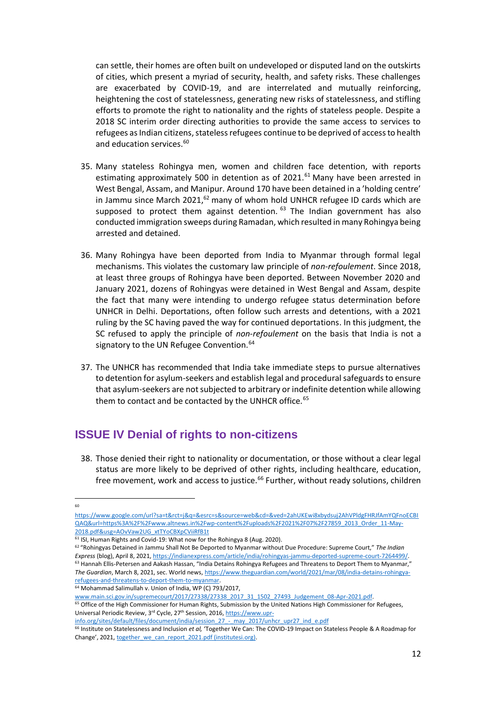can settle, their homes are often built on undeveloped or disputed land on the outskirts of cities, which present a myriad of security, health, and safety risks. These challenges are exacerbated by COVID-19, and are interrelated and mutually reinforcing, heightening the cost of statelessness, generating new risks of statelessness, and stifling efforts to promote the right to nationality and the rights of stateless people. Despite a 2018 SC interim order directing authorities to provide the same access to services to refugees as Indian citizens, stateless refugees continue to be deprived of access to health and education services.<sup>60</sup>

- 35. Many stateless Rohingya men, women and children face detention, with reports estimating approximately 500 in detention as of  $2021$ .<sup>61</sup> Many have been arrested in West Bengal, Assam, and Manipur. Around 170 have been detained in a 'holding centre' in Jammu since March 2021,<sup>62</sup> many of whom hold UNHCR refugee ID cards which are supposed to protect them against detention.  $63$  The Indian government has also conducted immigration sweeps during Ramadan, which resulted in many Rohingya being arrested and detained.
- 36. Many Rohingya have been deported from India to Myanmar through formal legal mechanisms. This violates the customary law principle of *non-refoulement*. Since 2018, at least three groups of Rohingya have been deported. Between November 2020 and January 2021, dozens of Rohingyas were detained in West Bengal and Assam, despite the fact that many were intending to undergo refugee status determination before UNHCR in Delhi. Deportations, often follow such arrests and detentions, with a 2021 ruling by the SC having paved the way for continued deportations. In this judgment, the SC refused to apply the principle of *non-refoulement* on the basis that India is not a signatory to the UN Refugee Convention.<sup>64</sup>
- 37. The UNHCR has recommended that India take immediate steps to pursue alternatives to detention for asylum-seekers and establish legal and procedural safeguards to ensure that asylum-seekers are not subjected to arbitrary or indefinite detention while allowing them to contact and be contacted by the UNHCR office*.* 65

#### **ISSUE IV Denial of rights to non-citizens**

38. Those denied their right to nationality or documentation, or those without a clear legal status are more likely to be deprived of other rights, including healthcare, education, free movement, work and access to justice.<sup>66</sup> Further, without ready solutions, children

<sup>64</sup> Mohammad Salimullah v. Union of India, WP (C) 793/2017,

[www.main.sci.gov.in/supremecourt/2017/27338/27338\\_2017\\_31\\_1502\\_27493\\_Judgement\\_08-Apr-2021.pdf.](http://www.main.sci.gov.in/supremecourt/2017/27338/27338_2017_31_1502_27493_Judgement_08-Apr-2021.pdf) 

[info.org/sites/default/files/document/india/session\\_27\\_-\\_may\\_2017/unhcr\\_upr27\\_ind\\_e.pdf](https://www.upr-info.org/sites/default/files/document/india/session_27_-_may_2017/unhcr_upr27_ind_e.pdf)

<sup>60</sup>

[https://www.google.com/url?sa=t&rct=j&q=&esrc=s&source=web&cd=&ved=2ahUKEwi8xbydsuj2AhVPldgFHRJfAmYQFnoECBI](https://www.google.com/url?sa=t&rct=j&q=&esrc=s&source=web&cd=&ved=2ahUKEwi8xbydsuj2AhVPldgFHRJfAmYQFnoECBIQAQ&url=https%3A%2F%2Fwww.altnews.in%2Fwp-content%2Fuploads%2F2021%2F07%2F27859_2013_Order_11-May-2018.pdf&usg=AOvVaw2UG_xtTYoCBXpCViiRfB1t) [QAQ&url=https%3A%2F%2Fwww.altnews.in%2Fwp-content%2Fuploads%2F2021%2F07%2F27859\\_2013\\_Order\\_11-May-](https://www.google.com/url?sa=t&rct=j&q=&esrc=s&source=web&cd=&ved=2ahUKEwi8xbydsuj2AhVPldgFHRJfAmYQFnoECBIQAQ&url=https%3A%2F%2Fwww.altnews.in%2Fwp-content%2Fuploads%2F2021%2F07%2F27859_2013_Order_11-May-2018.pdf&usg=AOvVaw2UG_xtTYoCBXpCViiRfB1t)[2018.pdf&usg=AOvVaw2UG\\_xtTYoCBXpCViiRfB1t](https://www.google.com/url?sa=t&rct=j&q=&esrc=s&source=web&cd=&ved=2ahUKEwi8xbydsuj2AhVPldgFHRJfAmYQFnoECBIQAQ&url=https%3A%2F%2Fwww.altnews.in%2Fwp-content%2Fuploads%2F2021%2F07%2F27859_2013_Order_11-May-2018.pdf&usg=AOvVaw2UG_xtTYoCBXpCViiRfB1t)

<sup>&</sup>lt;sup>61</sup> ISI, Human Rights and Covid-19: What now for the Rohingya 8 (Aug. 2020).

<sup>62</sup> "Rohingyas Detained in Jammu Shall Not Be Deported to Myanmar without Due Procedure: Supreme Court," *The Indian Express* (blog), April 8, 2021, [https://indianexpress.com/article/india/rohingyas-jammu-deported-supreme-court-7264499/.](https://indianexpress.com/article/india/rohingyas-jammu-deported-supreme-court-7264499/) <sup>63</sup> Hannah Ellis-Petersen and Aakash Hassan, "India Detains Rohingya Refugees and Threatens to Deport Them to Myanmar," *The Guardian*, March 8, 2021, sec. World news[, https://www.theguardian.com/world/2021/mar/08/india-detains-rohingya](https://www.theguardian.com/world/2021/mar/08/india-detains-rohingya-refugees-and-threatens-to-deport-them-to-myanmar)[refugees-and-threatens-to-deport-them-to-myanmar.](https://www.theguardian.com/world/2021/mar/08/india-detains-rohingya-refugees-and-threatens-to-deport-them-to-myanmar)

<sup>&</sup>lt;sup>65</sup> Office of the High Commissioner for Human Rights, Submission by the United Nations High Commissioner for Refugees, Universal Periodic Review, 3<sup>rd</sup> Cycle, 27<sup>th</sup> Session, 2016[, https://www.upr-](https://www.upr-info.org/sites/default/files/document/india/session_27_-_may_2017/unhcr_upr27_ind_e.pdf)

<sup>66</sup> Institute on Statelessness and Inclusion *et al,* 'Together We Can: The COVID-19 Impact on Stateless People & A Roadmap for Change', 2021, [together\\_we\\_can\\_report\\_2021.pdf \(institutesi.org\).](https://files.institutesi.org/together_we_can_report_2021.pdf)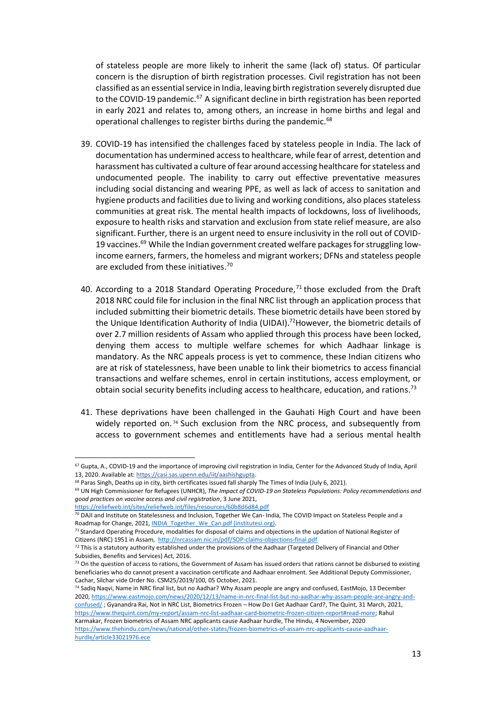of stateless people are more likely to inherit the same (lack of) status. Of particular concern is the disruption of birth registration processes. Civil registration has not been classified as an essential service in India, leaving birth registration severely disrupted due to the COVID-19 pandemic.<sup>67</sup> A significant decline in birth registration has been reported in early 2021 and relates to, among others, an increase in home births and legal and operational challenges to register births during the pandemic.<sup>68</sup>

- 39. COVID-19 has intensified the challenges faced by stateless people in India. The lack of documentation has undermined access to healthcare, while fear of arrest, detention and harassment has cultivated a culture of fear around accessing healthcare for stateless and undocumented people. The inability to carry out effective preventative measures including social distancing and wearing PPE, as well as lack of access to sanitation and hygiene products and facilities due to living and working conditions, also places stateless communities at great risk. The mental health impacts of lockdowns, loss of livelihoods, exposure to health risks and starvation and exclusion from state relief measure, are also significant. Further, there is an urgent need to ensure inclusivity in the roll out of COVID-19 vaccines.<sup>69</sup> While the Indian government created welfare packages for struggling lowincome earners, farmers, the homeless and migrant workers; DFNs and stateless people are excluded from these initiatives. 70
- 40. According to a 2018 Standard Operating Procedure, $71$  those excluded from the Draft 2018 NRC could file for inclusion in the final NRC list through an application process that included submitting their biometric details. These biometric details have been stored by the Unique Identification Authority of India (UIDAI).<sup>72</sup>However, the biometric details of over 2.7 million residents of Assam who applied through this process have been locked, denying them access to multiple welfare schemes for which Aadhaar linkage is mandatory. As the NRC appeals process is yet to commence, these Indian citizens who are at risk of statelessness, have been unable to link their biometrics to access financial transactions and welfare schemes, enrol in certain institutions, access employment, or obtain social security benefits including access to healthcare, education, and rations.<sup>73</sup>
- 41. These deprivations have been challenged in the Gauhati High Court and have been widely reported on.<sup>74</sup> Such exclusion from the NRC process, and subsequently from access to government schemes and entitlements have had a serious mental health

<https://reliefweb.int/sites/reliefweb.int/files/resources/60b8d6d84.pdf>

<sup>67</sup> Gupta, A., COVID-19 and the importance of improving civil registration in India, Center for the Advanced Study of India, April 13, 2020. Available at: [https://casi.sas.upenn.edu/iit/aashishgupta.](https://casi.sas.upenn.edu/iit/aashishgupta)

<sup>&</sup>lt;sup>68</sup> Paras Singh, Deaths up in city, birth certificates issued fall sharply The Times of India (July 6, 2021).

<sup>69</sup> UN High Commissioner for Refugees (UNHCR), *The Impact of COVID-19 on Stateless Populations: Policy recommendations and good practices on vaccine access and civil registration*, 3 June 2021,

<sup>70</sup> DAJI and Institute on Statelessness and Inclusion, Together We Can- India, The COVID Impact on Stateless People and a Roadmap for Change, 2021[, INDIA\\_Together\\_We\\_Can.pdf \(institutesi.org\).](https://files.institutesi.org/INDIA_Together_We_Can.pdf)

<sup>71</sup> Standard Operating Procedure, modalities for disposal of claims and objections in the updation of National Register of Citizens (NRC) 1951 in Assam, <http://nrcassam.nic.in/pdf/SOP-claims-objections-final.pdf>

 $72$  This is a statutory authority established under the provisions of the Aadhaar (Targeted Delivery of Financial and Other Subsidies, Benefits and Services) Act, 2016.

 $73$  On the question of access to rations, the Government of Assam has issued orders that rations cannot be disbursed to existing beneficiaries who do cannot present a vaccination certificate and Aadhaar enrolment. See Additional Deputy Commissioner, Cachar, Silchar vide Order No. CSM25/2019/100, 05 October, 2021.

<sup>74</sup> Sadiq Naqvi, Name in NRC final list, but no Aadhar? Why Assam people are angry and confused, EastMojo, 13 December 2020[, https://www.eastmojo.com/news/2020/12/13/name-in-nrc-final-list-but-no-aadhar-why-assam-people-are-angry-and](https://www.eastmojo.com/news/2020/12/13/name-in-nrc-final-list-but-no-aadhar-why-assam-people-are-angry-and-confused/)[confused/](https://www.eastmojo.com/news/2020/12/13/name-in-nrc-final-list-but-no-aadhar-why-assam-people-are-angry-and-confused/) ; Gyanandra Rai, Not in NRC List, Biometrics Frozen – How Do I Get Aadhaar Card?, The Quint, 31 March, 2021, [https://www.thequint.com/my-report/assam-nrc-list-aadhaar-card-biometric-frozen-citizen-report#read-more;](https://www.thequint.com/my-report/assam-nrc-list-aadhaar-card-biometric-frozen-citizen-report#read-more) Rahul Karmakar, Frozen biometrics of Assam NRC applicants cause Aadhaar hurdle, The Hindu, 4 November, 2020 [https://www.thehindu.com/news/national/other-states/frozen-biometrics-of-assam-nrc-applicants-cause-aadhaar](https://www.thehindu.com/news/national/other-states/frozen-biometrics-of-assam-nrc-applicants-cause-aadhaar-hurdle/article33021976.ece)[hurdle/article33021976.ece](https://www.thehindu.com/news/national/other-states/frozen-biometrics-of-assam-nrc-applicants-cause-aadhaar-hurdle/article33021976.ece)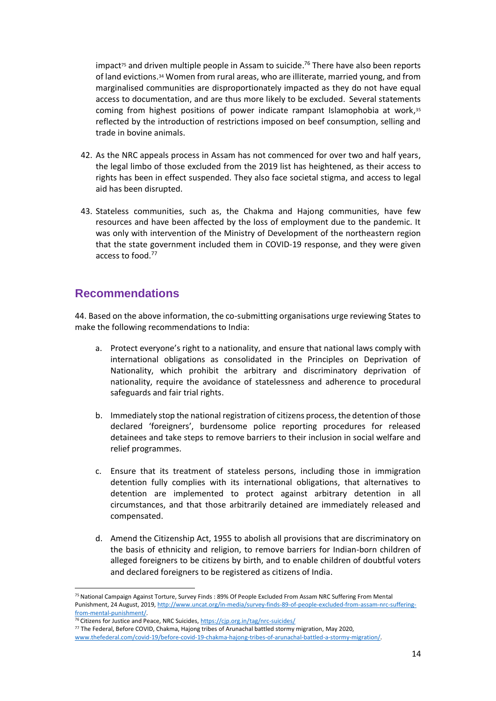impact<sup>75</sup> and driven multiple people in Assam to suicide.<sup>76</sup> There have also been reports of land evictions. <sup>34</sup> Women from rural areas, who are illiterate, married young, and from marginalised communities are disproportionately impacted as they do not have equal access to documentation, and are thus more likely to be excluded. Several statements coming from highest positions of power indicate rampant Islamophobia at work, 35 reflected by the introduction of restrictions imposed on beef consumption, selling and trade in bovine animals.

- 42. As the NRC appeals process in Assam has not commenced for over two and half years, the legal limbo of those excluded from the 2019 list has heightened, as their access to rights has been in effect suspended. They also face societal stigma, and access to legal aid has been disrupted.
- 43. Stateless communities, such as, the Chakma and Hajong communities, have few resources and have been affected by the loss of employment due to the pandemic. It was only with intervention of the Ministry of Development of the northeastern region that the state government included them in COVID-19 response, and they were given access to food.<sup>77</sup>

#### **Recommendations**

44. Based on the above information, the co-submitting organisations urge reviewing States to make the following recommendations to India:

- a. Protect everyone's right to a nationality, and ensure that national laws comply with international obligations as consolidated in the Principles on Deprivation of Nationality, which prohibit the arbitrary and discriminatory deprivation of nationality, require the avoidance of statelessness and adherence to procedural safeguards and fair trial rights.
- b. Immediately stop the national registration of citizens process, the detention of those declared 'foreigners', burdensome police reporting procedures for released detainees and take steps to remove barriers to their inclusion in social welfare and relief programmes.
- c. Ensure that its treatment of stateless persons, including those in immigration detention fully complies with its international obligations, that alternatives to detention are implemented to protect against arbitrary detention in all circumstances, and that those arbitrarily detained are immediately released and compensated.
- d. Amend the Citizenship Act, 1955 to abolish all provisions that are discriminatory on the basis of ethnicity and religion, to remove barriers for Indian-born children of alleged foreigners to be citizens by birth, and to enable children of doubtful voters and declared foreigners to be registered as citizens of India.

<sup>75</sup> National Campaign Against Torture, Survey Finds : 89% Of People Excluded From Assam NRC Suffering From Mental Punishment, 24 August, 2019[, http://www.uncat.org/in-media/survey-finds-89-of-people-excluded-from-assam-nrc-suffering](http://www.uncat.org/in-media/survey-finds-89-of-people-excluded-from-assam-nrc-suffering-from-mental-punishment/)[from-mental-punishment/.](http://www.uncat.org/in-media/survey-finds-89-of-people-excluded-from-assam-nrc-suffering-from-mental-punishment/)

<sup>&</sup>lt;sup>76</sup> Citizens for Justice and Peace, NRC Suicides[, https://cjp.org.in/tag/nrc-suicides/](https://cjp.org.in/tag/nrc-suicides/)

<sup>77</sup> The Federal, Before COVID, Chakma, Hajong tribes of Arunachal battled stormy migration, May 2020,

[www.thefederal.com/covid-19/before-covid-19-chakma-hajong-tribes-of-arunachal-battled-a-stormy-migration/.](http://www.thefederal.com/covid-19/before-covid-19-chakma-hajong-tribes-of-arunachal-battled-a-stormy-migration/)